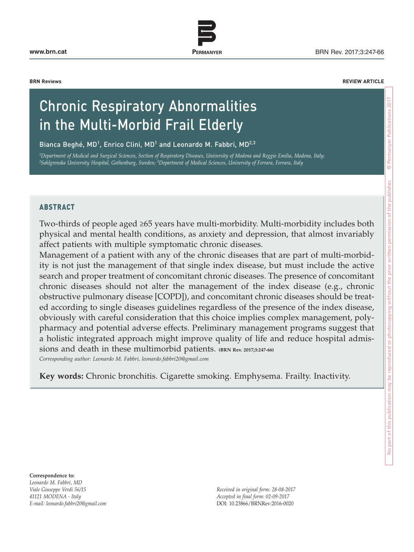**www.brn.cat** BRN Rev. 2017;3:247-66

**BRN Reviews REVIEW ARTICLE**

# Chronic Respiratory Abnormalities in the Multi-Morbid Frail Elderly

Bianca Beghé, MD<sup>1</sup>, Enrico Clini, MD<sup>1</sup> and Leonardo M. Fabbri, MD<sup>2,3</sup>

*1Department of Medical and Surgical Sciences, Section of Respiratory Diseases, University of Modena and Reggio Emilia, Modena, Italy; 2Sahlgrenska University Hospital, Gothenburg, Sweden; 3Department of Medical Sciences, University of Ferrara, Ferrara, Italy*

#### **ABSTRACT**

Two-thirds of people aged ≥65 years have multi-morbidity. Multi-morbidity includes both physical and mental health conditions, as anxiety and depression, that almost invariably affect patients with multiple symptomatic chronic diseases.

**PERMANYER** www.permanyer.com

Management of a patient with any of the chronic diseases that are part of multi-morbidity is not just the management of that single index disease, but must include the active search and proper treatment of concomitant chronic diseases. The presence of concomitant chronic diseases should not alter the management of the index disease (e.g., chronic obstructive pulmonary disease [COPD]), and concomitant chronic diseases should be treated according to single diseases guidelines regardless of the presence of the index disease, obviously with careful consideration that this choice implies complex management, polypharmacy and potential adverse effects. Preliminary management programs suggest that a holistic integrated approach might improve quality of life and reduce hospital admissions and death in these multimorbid patients. **(BRN Rev. 2017;3:247-66**) *Corresponding author: Leonardo M. Fabbri, leonardo.fabbri20@gmail.com*

**Key words:** Chronic bronchitis. Cigarette smoking. Emphysema. Frailty. Inactivity.

**Correspondence to:**  *Leonardo M. Fabbri, MD Viale Giuseppe Verdi 56/15 41121 MODENA - Italy E-mail: leonardo.fabbri20@gmail.com*

*Received in original form: 28-08-2017 Accepted in final form: 02-09-2017* DOI: 10.23866/BRNRev:2016-0020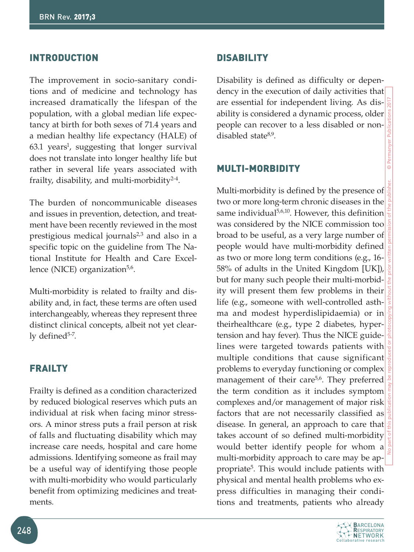## **INTRODUCTION**

The improvement in socio-sanitary conditions and of medicine and technology has increased dramatically the lifespan of the population, with a global median life expectancy at birth for both sexes of 71.4 years and a median healthy life expectancy (HALE) of 63.1 years<sup>1</sup>, suggesting that longer survival does not translate into longer healthy life but rather in several life years associated with frailty, disability, and multi-morbidity<sup>2-4</sup>.

The burden of noncommunicable diseases and issues in prevention, detection, and treatment have been recently reviewed in the most prestigious medical journals $2,3$  and also in a specific topic on the guideline from The National Institute for Health and Care Excellence (NICE) organization $5.6$ .

Multi-morbidity is related to frailty and disability and, in fact, these terms are often used interchangeably, whereas they represent three distinct clinical concepts, albeit not yet clearly defined $5-7$ .

# **FRAILTY**

Frailty is defined as a condition characterized by reduced biological reserves which puts an individual at risk when facing minor stressors. A minor stress puts a frail person at risk of falls and fluctuating disability which may increase care needs, hospital and care home admissions. Identifying someone as frail may be a useful way of identifying those people with multi-morbidity who would particularly benefit from optimizing medicines and treatments.

#### **DISABILITY**

Disability is defined as difficulty or dependency in the execution of daily activities that are essential for independent living. As disability is considered a dynamic process, older people can recover to a less disabled or nondisabled state8,9.

### Multi-morbidity

Multi-morbidity is defined by the presence of two or more long-term chronic diseases in the same individual<sup>5,6,10</sup>. However, this definition was considered by the NICE commission too broad to be useful, as a very large number of people would have multi-morbidity defined as two or more long term conditions (e.g., 16- 58% of adults in the United Kingdom [UK]), but for many such people their multi-morbidity will present them few problems in their life (e.g., someone with well-controlled asthma and modest hyperdislipidaemia) or in theirhealthcare (e.g., type 2 diabetes, hypertension and hay fever). Thus the NICE guidelines were targeted towards patients with multiple conditions that cause significant problems to everyday functioning or complex management of their care<sup>5,6</sup>. They preferred the term condition as it includes symptom complexes and/or management of major risk factors that are not necessarily classified as disease. In general, an approach to care that takes account of so defined multi-morbidity would better identify people for whom a multi-morbidity approach to care may be appropriate<sup>5</sup>. This would include patients with physical and mental health problems who express difficulties in managing their conditions and treatments, patients who already

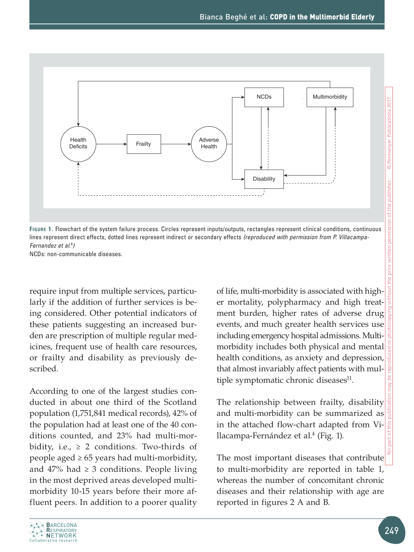

**Figure 1.** Flowchart of the system failure process. Circles represent inputs/outputs, rectangles represent clinical conditions, continuous lines represent direct effects, dotted lines represent indirect or secondary effects *(reproduced with permission from P. Villacampa-Fernandez et al.*<sup>4</sup> *)*

NCDs: non-communicable diseases.

require input from multiple services, particularly if the addition of further services is being considered. Other potential indicators of these patients suggesting an increased burden are prescription of multiple regular medicines, frequent use of health care resources, or frailty and disability as previously described.

According to one of the largest studies conducted in about one third of the Scotland population (1,751,841 medical records), 42% of the population had at least one of the 40 conditions counted, and 23% had multi-morbidity, i.e.,  $\geq 2$  conditions. Two-thirds of people aged  $\geq 65$  years had multi-morbidity, and  $47\%$  had  $\geq 3$  conditions. People living in the most deprived areas developed multimorbidity 10-15 years before their more affluent peers. In addition to a poorer quality

of life, multi-morbidity is associated with higher mortality, polypharmacy and high treatment burden, higher rates of adverse drug events, and much greater health services use including emergency hospital admissions. Multimorbidity includes both physical and mental health conditions, as anxiety and depression, that almost invariably affect patients with multiple symptomatic chronic diseases<sup>11</sup>.

The relationship between frailty, disability and multi-morbidity can be summarized as in the attached flow-chart adapted from Villacampa-Fernández et al.4 (Fig. 1).

The most important diseases that contribute to multi-morbidity are reported in table 1, whereas the number of concomitant chronic diseases and their relationship with age are reported in figures 2 A and B.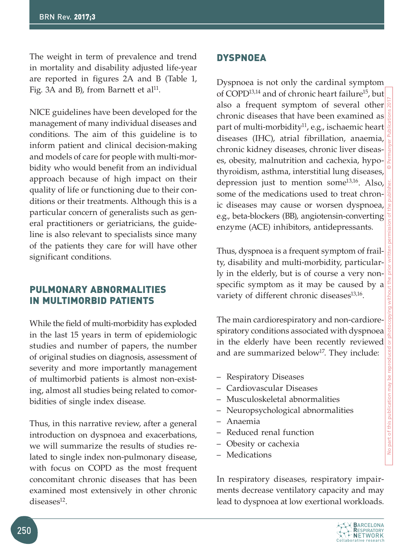The weight in term of prevalence and trend in mortality and disability adjusted life-year are reported in figures 2A and B (Table 1, Fig. 3A and B), from Barnett et al<sup>11</sup>.

NICE guidelines have been developed for the management of many individual diseases and conditions. The aim of this guideline is to inform patient and clinical decision-making and models of care for people with multi-morbidity who would benefit from an individual approach because of high impact on their quality of life or functioning due to their conditions or their treatments. Although this is a particular concern of generalists such as general practitioners or geriatricians, the guideline is also relevant to specialists since many of the patients they care for will have other significant conditions.

# Pulmonary abnormalities IN MULTIMORBID PATIENTS

While the field of multi-morbidity has exploded in the last 15 years in term of epidemiologic studies and number of papers, the number of original studies on diagnosis, assessment of severity and more importantly management of multimorbid patients is almost non-existing, almost all studies being related to comorbidities of single index disease.

Thus, in this narrative review, after a general introduction on dyspnoea and exacerbations, we will summarize the results of studies related to single index non-pulmonary disease, with focus on COPD as the most frequent concomitant chronic diseases that has been examined most extensively in other chronic  $diseases<sup>12</sup>$ .

# **DYSPNOEA**

Dyspnoea is not only the cardinal symptom of COPD<sup>13,14</sup> and of chronic heart failure<sup>15</sup>, but also a frequent symptom of several other chronic diseases that have been examined as part of multi-morbidity<sup>11</sup>, e.g., ischaemic heart diseases (IHC), atrial fibrillation, anaemia, chronic kidney diseases, chronic liver diseases, obesity, malnutrition and cachexia, hypothyroidism, asthma, interstitial lung diseases, depression just to mention some13,16. Also, some of the medications used to treat chronic diseases may cause or worsen dyspnoea, e.g., beta-blockers (BB), angiotensin-converting enzyme (ACE) inhibitors, antidepressants.

Thus, dyspnoea is a frequent symptom of frailty, disability and multi-morbidity, particularly in the elderly, but is of course a very nonspecific symptom as it may be caused by a variety of different chronic diseases<sup>13,16</sup>.

The main cardiorespiratory and non-cardiorespiratory conditions associated with dyspnoea in the elderly have been recently reviewed and are summarized below<sup>17</sup>. They include:

- Respiratory Diseases
- Cardiovascular Diseases
- Musculoskeletal abnormalities
- Neuropsychological abnormalities
- Anaemia
- Reduced renal function
- Obesity or cachexia
- Medications

In respiratory diseases, respiratory impairments decrease ventilatory capacity and may lead to dyspnoea at low exertional workloads.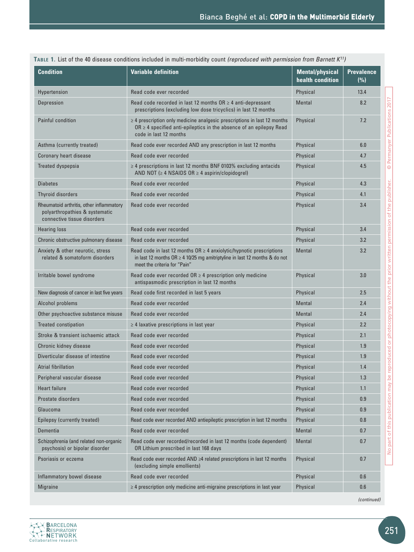| <b>Condition</b>                                                                                          | <b>Variable definition</b>                                                                                                                                                                  | <b>Mental/physical</b><br>health condition | <b>Prevalence</b><br>(%) |
|-----------------------------------------------------------------------------------------------------------|---------------------------------------------------------------------------------------------------------------------------------------------------------------------------------------------|--------------------------------------------|--------------------------|
| Hypertension                                                                                              | Read code ever recorded                                                                                                                                                                     | Physical                                   | 13.4                     |
| Depression                                                                                                | Read code recorded in last 12 months $OR \geq 4$ anti-depressant<br>prescriptions (excluding low dose tricyclics) in last 12 months                                                         | <b>Mental</b>                              | 8.2                      |
| <b>Painful condition</b>                                                                                  | $\geq$ 4 prescription only medicine analgesic prescriptions in last 12 months<br>$OR \geq 4$ specified anti-epileptics in the absence of an epilepsy Read<br>code in last 12 months         | Physical                                   | 7.2                      |
| Asthma (currently treated)                                                                                | Read code ever recorded AND any prescription in last 12 months                                                                                                                              | Physical                                   | 6.0                      |
| Coronary heart disease                                                                                    | Read code ever recorded                                                                                                                                                                     | Physical                                   | 4.7                      |
| Treated dyspepsia                                                                                         | $\geq$ 4 prescriptions in last 12 months BNF 0103% excluding antacids<br>AND NOT ( $\geq 4$ NSAIDS OR $\geq 4$ aspirin/clopidogrel)                                                         | Physical                                   | 4.5                      |
| <b>Diabetes</b>                                                                                           | Read code ever recorded                                                                                                                                                                     | Physical                                   | 4.3                      |
| <b>Thyroid disorders</b>                                                                                  | Read code ever recorded                                                                                                                                                                     | Physical                                   | 4.1                      |
| Rheumatoid arthritis, other inflammatory<br>polyarthropathies & systematic<br>connective tissue disorders | Read code ever recorded                                                                                                                                                                     | Physical                                   | 3.4                      |
| <b>Hearing loss</b>                                                                                       | Read code ever recorded                                                                                                                                                                     | Physical                                   | 3.4                      |
| Chronic obstructive pulmonary disease                                                                     | Read code ever recorded                                                                                                                                                                     | Physical                                   | 3.2                      |
| Anxiety & other neurotic, stress<br>related & somatoform disorders                                        | Read code in last 12 months $OR \geq 4$ anxiolytic/hypnotic prescriptions<br>in last 12 months $OR \ge 4$ 10/25 mg amitriptyline in last 12 months & do not<br>meet the criteria for "Pain" | <b>Mental</b>                              | 3.2                      |
| Irritable bowel syndrome                                                                                  | Read code ever recorded $OR \geq 4$ prescription only medicine<br>antispasmodic prescription in last 12 months                                                                              | Physical                                   | 3.0                      |
| New diagnosis of cancer in last five years                                                                | Read code first recorded in last 5 years                                                                                                                                                    | Physical                                   | 2.5                      |
| Alcohol problems                                                                                          | Read code ever recorded                                                                                                                                                                     | <b>Mental</b>                              | 2.4                      |
| Other psychoactive substance misuse                                                                       | Read code ever recorded                                                                                                                                                                     | <b>Mental</b>                              | 2.4                      |
| <b>Treated constipation</b>                                                                               | $\geq$ 4 laxative prescriptions in last year                                                                                                                                                | Physical                                   | 2.2                      |
| Stroke & transient ischaemic attack                                                                       | Read code ever recorded                                                                                                                                                                     | Physical                                   | 2.1                      |
| Chronic kidney disease                                                                                    | Read code ever recorded                                                                                                                                                                     | Physical                                   | 1.9                      |
| Diverticular disease of intestine                                                                         | Read code ever recorded                                                                                                                                                                     | Physical                                   | 1.9                      |
| Atrial fibrillation                                                                                       | Read code ever recorded                                                                                                                                                                     | Physical                                   | 1.4                      |
| Peripheral vascular disease                                                                               | Read code ever recorded                                                                                                                                                                     | Physical                                   | 1.3                      |
| <b>Heart failure</b>                                                                                      | Read code ever recorded                                                                                                                                                                     | Physical                                   | 1.1                      |
| Prostate disorders                                                                                        | Read code ever recorded                                                                                                                                                                     | Physical                                   | 0.9                      |
| Glaucoma                                                                                                  | Read code ever recorded                                                                                                                                                                     | Physical                                   | 0.9                      |
| Epilepsy (currently treated)                                                                              | Read code ever recorded AND antiepileptic prescription in last 12 months                                                                                                                    | Physical                                   | 0.8                      |
| Dementia                                                                                                  | Read code ever recorded                                                                                                                                                                     | <b>Mental</b>                              | 0.7                      |
| Schizophrenia (and related non-organic<br>psychosis) or bipolar disorder                                  | Read code ever recorded/recorded in last 12 months (code dependent)<br>OR Lithium prescribed in last 168 days                                                                               | <b>Mental</b>                              | 0.7                      |
| Psoriasis or eczema                                                                                       | Read code ever recorded AND ≥4 related prescriptions in last 12 months<br>(excluding simple emollients)                                                                                     | Physical                                   | 0.7                      |
| Inflammatory bowel disease                                                                                | Read code ever recorded                                                                                                                                                                     | Physical                                   | 0.6                      |
| <b>Migraine</b>                                                                                           | $\geq$ 4 prescription only medicine anti-migraine prescriptions in last year                                                                                                                | Physical                                   | 0.6                      |

**Table 1.** List of the 40 disease conditions included in multi-morbidity count *(reproduced with permission from Barnett K11)*

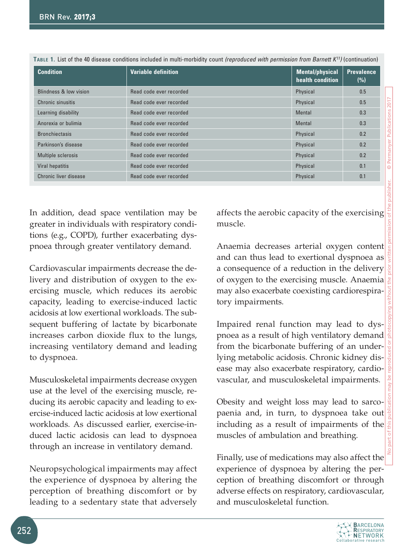| <b>Condition</b>       | <b>Variable definition</b> | <b>Mental/physical</b><br>health condition | <b>Prevalence</b><br>(%) |
|------------------------|----------------------------|--------------------------------------------|--------------------------|
| Blindness & low vision | Read code ever recorded    | Physical                                   | 0.5                      |
| Chronic sinusitis      | Read code ever recorded    | Physical                                   | 0.5                      |
| Learning disability    | Read code ever recorded    | Mental                                     | 0.3                      |
| Anorexia or bulimia    | Read code ever recorded    | Mental                                     | 0.3                      |
| <b>Bronchiectasis</b>  | Read code ever recorded    | Physical                                   | 0.2                      |
| Parkinson's disease    | Read code ever recorded    | Physical                                   | 0.2                      |
| Multiple sclerosis     | Read code ever recorded    | Physical                                   | 0.2                      |
| Viral hepatitis        | Read code ever recorded    | Physical                                   | 0.1                      |
| Chronic liver disease  | Read code ever recorded    | Physical                                   | 0.1                      |

**Table 1.** List of the 40 disease conditions included in multi-morbidity count *(reproduced with permission from Barnett K11)* (continuation)

In addition, dead space ventilation may be greater in individuals with respiratory conditions (e.g., COPD), further exacerbating dyspnoea through greater ventilatory demand.

Cardiovascular impairments decrease the delivery and distribution of oxygen to the exercising muscle, which reduces its aerobic capacity, leading to exercise-induced lactic acidosis at low exertional workloads. The subsequent buffering of lactate by bicarbonate increases carbon dioxide flux to the lungs, increasing ventilatory demand and leading to dyspnoea.

Musculoskeletal impairments decrease oxygen use at the level of the exercising muscle, reducing its aerobic capacity and leading to exercise-induced lactic acidosis at low exertional workloads. As discussed earlier, exercise-induced lactic acidosis can lead to dyspnoea through an increase in ventilatory demand.

Neuropsychological impairments may affect the experience of dyspnoea by altering the perception of breathing discomfort or by leading to a sedentary state that adversely

affects the aerobic capacity of the exercising muscle.

Anaemia decreases arterial oxygen content and can thus lead to exertional dyspnoea as a consequence of a reduction in the delivery of oxygen to the exercising muscle. Anaemia may also exacerbate coexisting cardiorespiratory impairments.

Impaired renal function may lead to dyspnoea as a result of high ventilatory demand from the bicarbonate buffering of an underlying metabolic acidosis. Chronic kidney disease may also exacerbate respiratory, cardiovascular, and musculoskeletal impairments.

Obesity and weight loss may lead to sarcopaenia and, in turn, to dyspnoea take out including as a result of impairments of the muscles of ambulation and breathing.

Finally, use of medications may also affect the experience of dyspnoea by altering the perception of breathing discomfort or through adverse effects on respiratory, cardiovascular, and musculoskeletal function.

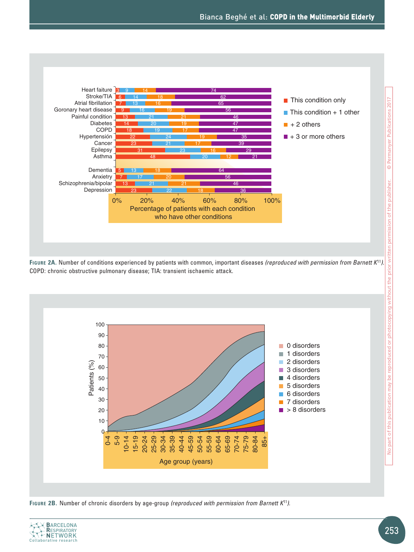

**Figure 2A.** Number of conditions experienced by patients with common, important diseases *(reproduced with permission from Barnett K*<sup>11</sup>*).* COPD: chronic obstructive pulmonary disease; TIA: transient ischaemic attack.



**Figure 2B.** Number of chronic disorders by age-group *(reproduced with permission from Barnett K*<sup>11</sup>*).*

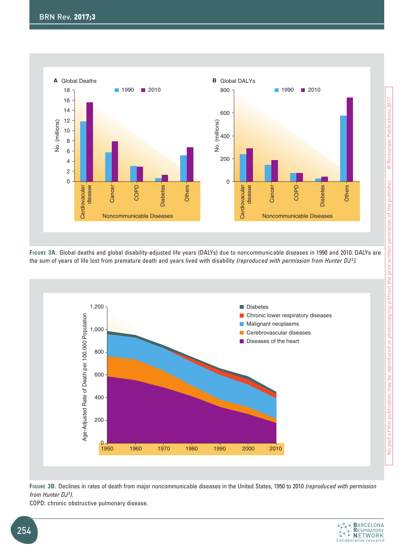

**Figure 3A.** Global deaths and global disability-adjusted life years (DALYs) due to noncommunicable diseases in 1990 and 2010. DALYs are the sum of years of life lost from premature death and years lived with disability *(reproduced with permission from Hunter DJ* <sup>2</sup>).



**Figure 3B.** Declines in rates of death from major noncommunicable diseases in the United States, 1950 to 2010 *(reproduced with permission from Hunter DJ*<sup>2</sup> *)*.

COPD: chronic obstructive pulmonary disease.

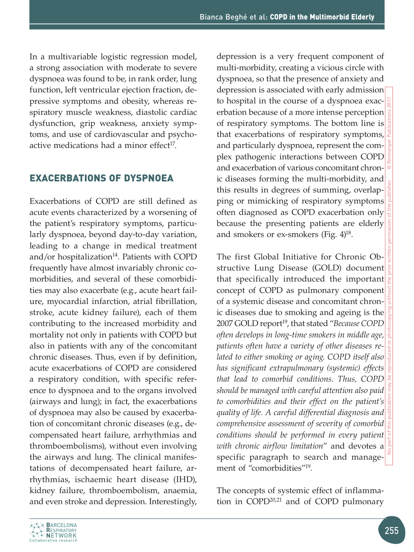In a multivariable logistic regression model, a strong association with moderate to severe dyspnoea was found to be, in rank order, lung function, left ventricular ejection fraction, depressive symptoms and obesity, whereas respiratory muscle weakness, diastolic cardiac dysfunction, grip weakness, anxiety symptoms, and use of cardiovascular and psychoactive medications had a minor effect $17$ .

#### Exacerbations of dyspnoea

Exacerbations of COPD are still defined as acute events characterized by a worsening of the patient's respiratory symptoms, particularly dyspnoea, beyond day-to-day variation, leading to a change in medical treatment and/or hospitalization<sup>14</sup>. Patients with COPD frequently have almost invariably chronic comorbidities, and several of these comorbidities may also exacerbate (e.g., acute heart failure, myocardial infarction, atrial fibrillation, stroke, acute kidney failure), each of them contributing to the increased morbidity and mortality not only in patients with COPD but also in patients with any of the concomitant chronic diseases. Thus, even if by definition, acute exacerbations of COPD are considered a respiratory condition, with specific reference to dyspnoea and to the organs involved (airways and lung); in fact, the exacerbations of dyspnoea may also be caused by exacerbation of concomitant chronic diseases (e.g., decompensated heart failure, arrhythmias and thromboembolisms), without even involving the airways and lung. The clinical manifestations of decompensated heart failure, arrhythmias, ischaemic heart disease (IHD), kidney failure, thromboembolism, anaemia, and even stroke and depression. Interestingly,

depression is a very frequent component of multi-morbidity, creating a vicious circle with dyspnoea, so that the presence of anxiety and depression is associated with early admission to hospital in the course of a dyspnoea exacerbation because of a more intense perception of respiratory symptoms. The bottom line is that exacerbations of respiratory symptoms, and particularly dyspnoea, represent the complex pathogenic interactions between COPD and exacerbation of various concomitant chronic diseases forming the multi-morbidity, and this results in degrees of summing, overlapping or mimicking of respiratory symptoms often diagnosed as COPD exacerbation only because the presenting patients are elderly and smokers or ex-smokers (Fig. 4)18.

The first Global Initiative for Chronic Obstructive Lung Disease (GOLD) document that specifically introduced the important concept of COPD as pulmonary component of a systemic disease and concomitant chronic diseases due to smoking and ageing is the 2007 GOLD report<sup>19</sup>, that stated "Because COPD *often develops in long-time smokers in middle age, patients often have a variety of other diseases related to either smoking or aging. COPD itself also has significant extrapulmonary (systemic) effects that lead to comorbid conditions. Thus, COPD should be managed with careful attention also paid to comorbidities and their effect on the patient's quality of life. A careful differential diagnosis and comprehensive assessment of severity of comorbid conditions should be performed in every patient with chronic airflow limitation*" and devotes a specific paragraph to search and management of "comorbidities"19.

The concepts of systemic effect of inflammation in COPD20,21 and of COPD pulmonary

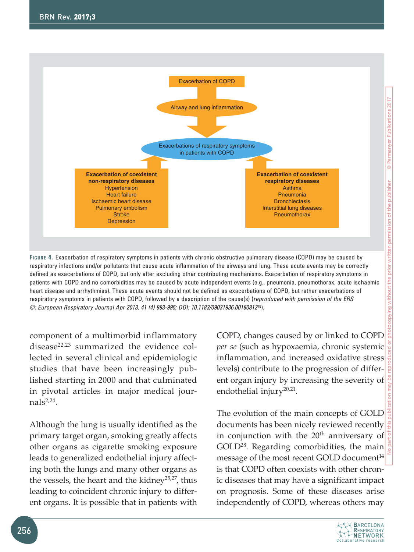

**Figure 4.** Exacerbation of respiratory symptoms in patients with chronic obstructive pulmonary disease (COPD) may be caused by respiratory infections and/or pollutants that cause acute inflammation of the airways and lung. These acute events may be correctly defined as exacerbations of COPD, but only after excluding other contributing mechanisms. Exacerbation of respiratory symptoms in patients with COPD and no comorbidities may be caused by acute independent events (e.g., pneumonia, pneumothorax, acute ischaemic heart disease and arrhythmias). These acute events should not be defined as exacerbations of COPD, but rather exacerbations of respiratory symptoms in patients with COPD, followed by a description of the cause(s) (*reproduced with permission of the ERS ©: European Respiratory Journal Apr 2013, 41 (4) 993-995; DOI: 10.1183/09031936.00180812*18).

component of a multimorbid inflammatory disease<sup>22,23</sup> summarized the evidence collected in several clinical and epidemiologic studies that have been increasingly published starting in 2000 and that culminated in pivotal articles in major medical jour $nals<sup>2,24</sup>$ .

Although the lung is usually identified as the primary target organ, smoking greatly affects other organs as cigarette smoking exposure leads to generalized endothelial injury affecting both the lungs and many other organs as the vessels, the heart and the kidney<sup>25,27</sup>, thus leading to coincident chronic injury to different organs. It is possible that in patients with COPD, changes caused by or linked to COPD *per se* (such as hypoxaemia, chronic systemic inflammation, and increased oxidative stress levels) contribute to the progression of different organ injury by increasing the severity of endothelial injury $20,21$ .

The evolution of the main concepts of GOLD documents has been nicely reviewed recently in conjunction with the 20<sup>th</sup> anniversary of GOLD28. Regarding comorbidities, the main message of the most recent GOLD document $14$ is that COPD often coexists with other chronic diseases that may have a significant impact on prognosis. Some of these diseases arise independently of COPD, whereas others may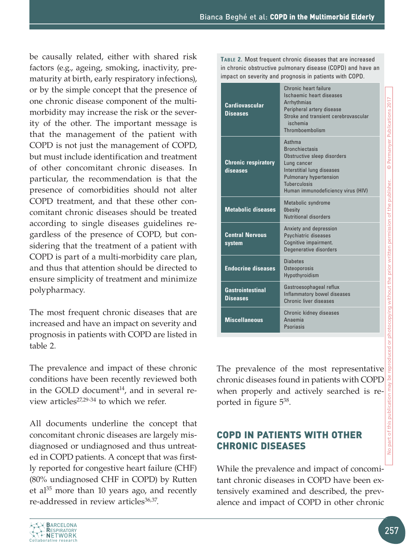be causally related, either with shared risk factors (e.g., ageing, smoking, inactivity, prematurity at birth, early respiratory infections), or by the simple concept that the presence of one chronic disease component of the multimorbidity may increase the risk or the severity of the other. The important message is that the management of the patient with COPD is not just the management of COPD, but must include identification and treatment of other concomitant chronic diseases. In particular, the recommendation is that the presence of comorbidities should not alter COPD treatment, and that these other concomitant chronic diseases should be treated according to single diseases guidelines regardless of the presence of COPD, but considering that the treatment of a patient with COPD is part of a multi-morbidity care plan, and thus that attention should be directed to ensure simplicity of treatment and minimize polypharmacy.

The most frequent chronic diseases that are increased and have an impact on severity and prognosis in patients with COPD are listed in table 2.

The prevalence and impact of these chronic conditions have been recently reviewed both in the GOLD document<sup>14</sup>, and in several review articles<sup>27,29-34</sup> to which we refer.

All documents underline the concept that concomitant chronic diseases are largely misdiagnosed or undiagnosed and thus untreated in COPD patients. A concept that was firstly reported for congestive heart failure (CHF) (80% undiagnosed CHF in COPD) by Rutten et al $^{35}$  more than 10 years ago, and recently re-addressed in review articles<sup>36,37</sup>.

**Table 2.** Most frequent chronic diseases that are increased in chronic obstructive pulmonary disease (COPD) and have an impact on severity and prognosis in patients with COPD.

| <b>Cardiovascular</b><br><b>Diseases</b>   | Chronic heart failure<br>Ischaemic heart diseases<br>Arrhythmias<br>Peripheral artery disease<br>Stroke and transient cerebrovascular<br>ischemia<br>Thromboembolism                                      |
|--------------------------------------------|-----------------------------------------------------------------------------------------------------------------------------------------------------------------------------------------------------------|
| <b>Chronic respiratory</b><br>diseases     | Asthma<br><b>Bronchiectasis</b><br>Obstructive sleep disorders<br>Lung cancer<br>Interstitial lung diseases<br><b>Pulmonary hypertension</b><br><b>Tuberculosis</b><br>Human immunodeficiency virus (HIV) |
| <b>Metabolic diseases</b>                  | Metabolic syndrome<br><b>Obesity</b><br>Nutritional disorders                                                                                                                                             |
| <b>Central Nervous</b><br>system           | Anxiety and depression<br>Psychiatric diseases<br>Cognitive impairment.<br>Degenerative disorders                                                                                                         |
| <b>Endocrine diseases</b>                  | <b>Diabetes</b><br>Osteoporosis<br>Hypothyroidism                                                                                                                                                         |
| <b>Gastrointestinal</b><br><b>Diseases</b> | Gastroesophageal reflux<br>Inflammatory bowel diseases<br>Chronic liver diseases                                                                                                                          |
| <b>Miscellaneous</b>                       | Chronic kidney diseases<br>Anaemia<br>Psoriasis                                                                                                                                                           |

The prevalence of the most representative chronic diseases found in patients with COPD when properly and actively searched is reported in figure 538.

# **COPD IN PATIENTS WITH OTHER** chronic diseases

While the prevalence and impact of concomitant chronic diseases in COPD have been extensively examined and described, the prevalence and impact of COPD in other chronic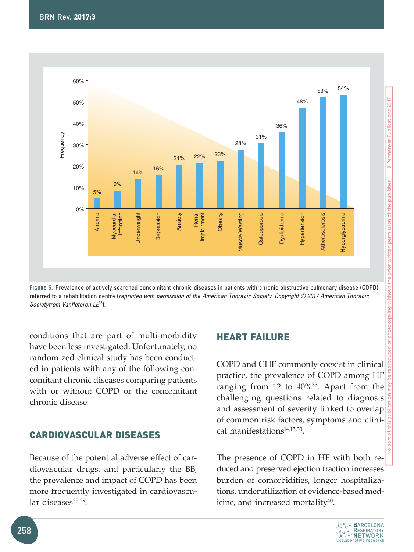

**Figure 5.** Prevalence of actively searched concomitant chronic diseases in patients with chronic obstructive pulmonary disease (COPD) referred to a rehabilitation centre (*reprinted with permission of the American Thoracic Society. Copyright © 2017 American Thoracic Societyfrom Vanfleteren LE*38).

conditions that are part of multi-morbidity have been less investigated. Unfortunately, no randomized clinical study has been conducted in patients with any of the following concomitant chronic diseases comparing patients with or without COPD or the concomitant chronic disease.

# Cardiovascular diseases

Because of the potential adverse effect of cardiovascular drugs, and particularly the BB, the prevalence and impact of COPD has been more frequently investigated in cardiovascular diseases $33,39$ .

### **HEART FAILURE**

COPD and CHF commonly coexist in clinical practice, the prevalence of COPD among HF ranging from 12 to 40%33. Apart from the challenging questions related to diagnosis and assessment of severity linked to overlap of common risk factors, symptoms and clinical manifestations $14,15,33$ .

The presence of COPD in HF with both reduced and preserved ejection fraction increases burden of comorbidities, longer hospitalizations, underutilization of evidence-based medicine, and increased mortality $40$ .

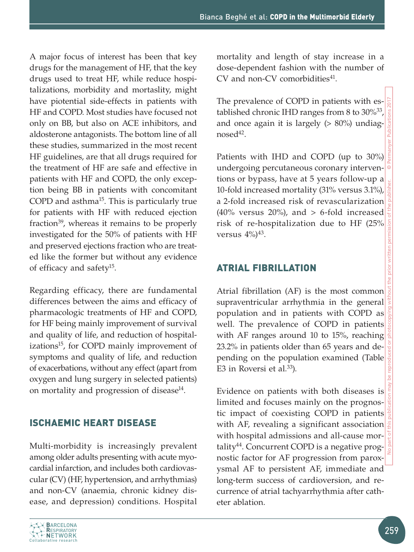A major focus of interest has been that key drugs for the management of HF, that the key drugs used to treat HF, while reduce hospitalizations, morbidity and mortaslity, might have piotential side-effects in patients with HF and COPD. Most studies have focused not only on BB, but also on ACE inhibitors, and aldosterone antagonists. The bottom line of all these studies, summarized in the most recent HF guidelines, are that all drugs required for the treatment of HF are safe and effective in patients with HF and COPD, the only exception being BB in patients with concomitant COPD and asthma<sup>15</sup>. This is particularly true for patients with HF with reduced ejection fraction<sup>39</sup>, whereas it remains to be properly investigated for the 50% of patients with HF and preserved ejections fraction who are treated like the former but without any evidence of efficacy and safety15.

Regarding efficacy, there are fundamental differences between the aims and efficacy of pharmacologic treatments of HF and COPD, for HF being mainly improvement of survival and quality of life, and reduction of hospitalizations<sup>15</sup>, for COPD mainly improvement of symptoms and quality of life, and reduction of exacerbations, without any effect (apart from oxygen and lung surgery in selected patients) on mortality and progression of disease $14$ .

# ISCHAEMIC heart disease

Multi-morbidity is increasingly prevalent among older adults presenting with acute myocardial infarction, and includes both cardiovascular (CV) (HF, hypertension, and arrhythmias) and non-CV (anaemia, chronic kidney disease, and depression) conditions. Hospital



The prevalence of COPD in patients with established chronic IHD ranges from 8 to  $30\%^{33}$ , and once again it is largely  $(> 80\%)$  undiag $n$ osed $42$ .

Patients with IHD and COPD (up to 30%) undergoing percutaneous coronary interventions or bypass, have at 5 years follow-up a 10-fold increased mortality (31% versus 3.1%), a 2-fold increased risk of revascularization (40% versus 20%), and  $> 6$ -fold increased risk of re-hospitalization due to HF (25% versus  $4\%/^{43}$ .

# Atrial fibrillation

Atrial fibrillation (AF) is the most common supraventricular arrhythmia in the general population and in patients with COPD as well. The prevalence of COPD in patients with AF ranges around 10 to 15%, reaching 23.2% in patients older than 65 years and depending on the population examined (Table E3 in Roversi et al. $33$ ).

Evidence on patients with both diseases is limited and focuses mainly on the prognostic impact of coexisting COPD in patients with AF, revealing a significant association with hospital admissions and all-cause mortality44. Concurrent COPD is a negative prognostic factor for AF progression from paroxysmal AF to persistent AF, immediate and long-term success of cardioversion, and recurrence of atrial tachyarrhythmia after catheter ablation.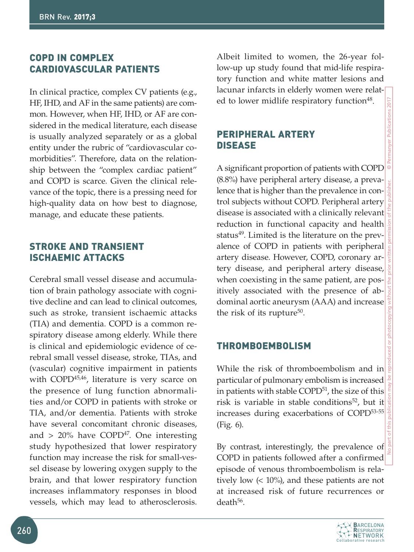# COPD in complex **CARDIOVASCULAR PATIENTS**

In clinical practice, complex CV patients (e.g., HF, IHD, and AF in the same patients) are common. However, when HF, IHD, or AF are considered in the medical literature, each disease is usually analyzed separately or as a global entity under the rubric of "cardiovascular comorbidities". Therefore, data on the relationship between the "complex cardiac patient" and COPD is scarce. Given the clinical relevance of the topic, there is a pressing need for high-quality data on how best to diagnose, manage, and educate these patients.

# Stroke and transient ISCHAEMIC attacks

Cerebral small vessel disease and accumulation of brain pathology associate with cognitive decline and can lead to clinical outcomes, such as stroke, transient ischaemic attacks (TIA) and dementia. COPD is a common respiratory disease among elderly. While there is clinical and epidemiologic evidence of cerebral small vessel disease, stroke, TIAs, and (vascular) cognitive impairment in patients with COPD<sup>45,46</sup>, literature is very scarce on the presence of lung function abnormalities and/or COPD in patients with stroke or TIA, and/or dementia. Patients with stroke have several concomitant chronic diseases, and  $> 20\%$  have COPD<sup>47</sup>. One interesting study hypothesized that lower respiratory function may increase the risk for small-vessel disease by lowering oxygen supply to the brain, and that lower respiratory function increases inflammatory responses in blood vessels, which may lead to atherosclerosis.

Albeit limited to women, the 26-year follow-up up study found that mid-life respiratory function and white matter lesions and lacunar infarcts in elderly women were related to lower midlife respiratory function<sup>48</sup>.

# Peripheral artery disease

A significant proportion of patients with COPD (8.8%) have peripheral artery disease, a prevalence that is higher than the prevalence in control subjects without COPD. Peripheral artery disease is associated with a clinically relevant reduction in functional capacity and health status<sup>49</sup>. Limited is the literature on the prevalence of COPD in patients with peripheral artery disease. However, COPD, coronary artery disease, and peripheral artery disease, when coexisting in the same patient, are positively associated with the presence of abdominal aortic aneurysm (AAA) and increase the risk of its rupture<sup>50</sup>.

# **THROMBOEMBOLISM**

While the risk of thromboembolism and in particular of pulmonary embolism is increased in patients with stable COPD<sup>51</sup>, the size of this risk is variable in stable conditions<sup>52</sup>, but it increases during exacerbations of COPD53-55 (Fig. 6).

By contrast, interestingly, the prevalence of COPD in patients followed after a confirmed episode of venous thromboembolism is relatively low  $($  10%), and these patients are not at increased risk of future recurrences or death56.

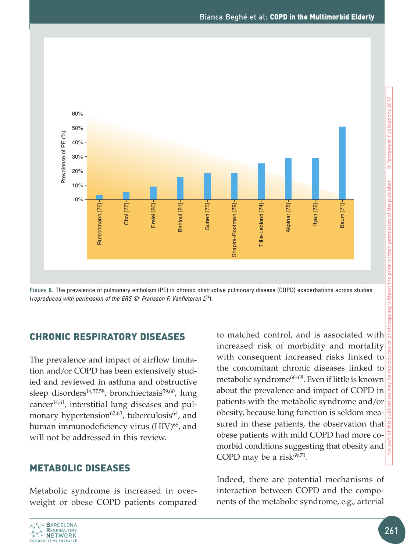

**Figure 6.** The prevalence of pulmonary embolism (PE) in chronic obstructive pulmonary disease (COPD) exacerbations across studies (*reproduced with permission of the ERS ©: Franssen F, Vanfleteren L*54).

# Chronic respiratory diseases

The prevalence and impact of airflow limitation and/or COPD has been extensively studied and reviewed in asthma and obstructive sleep disorders<sup>14,57,58</sup>, bronchiectasis<sup>59,60</sup>, lung cancer $14,61$ , interstitial lung diseases and pulmonary hypertension<sup>62,63</sup>, tuberculosis<sup>64</sup>, and human immunodeficiency virus (HIV)<sup>65</sup>, and will not be addressed in this review.

# Metabolic diseases

Metabolic syndrome is increased in overweight or obese COPD patients compared to matched control, and is associated with increased risk of morbidity and mortality with consequent increased risks linked to the concomitant chronic diseases linked to metabolic syndrome<sup>66-68</sup>. Even if little is known about the prevalence and impact of COPD in patients with the metabolic syndrome and/or obesity, because lung function is seldom measured in these patients, the observation that obese patients with mild COPD had more comorbid conditions suggesting that obesity and COPD may be a risk $69,70$ .

Indeed, there are potential mechanisms of interaction between COPD and the components of the metabolic syndrome, e.g., arterial

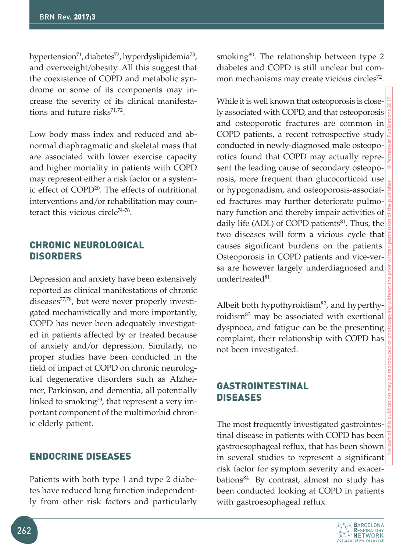hypertension<sup>71</sup>, diabetes<sup>72</sup>, hyperdyslipidemia<sup>73</sup>, and overweight/obesity. All this suggest that the coexistence of COPD and metabolic syndrome or some of its components may increase the severity of its clinical manifestations and future risks $71,72$ .

Low body mass index and reduced and abnormal diaphragmatic and skeletal mass that are associated with lower exercise capacity and higher mortality in patients with COPD may represent either a risk factor or a systemic effect of COPD20. The effects of nutritional interventions and/or rehabilitation may counteract this vicious circle<sup>74-76</sup>.

## Chronic neurological **DISORDERS**

Depression and anxiety have been extensively reported as clinical manifestations of chronic diseases77,78, but were never properly investigated mechanistically and more importantly, COPD has never been adequately investigated in patients affected by or treated because of anxiety and/or depression. Similarly, no proper studies have been conducted in the field of impact of COPD on chronic neurological degenerative disorders such as Alzheimer, Parkinson, and dementia, all potentially linked to smoking<sup>79</sup>, that represent a very important component of the multimorbid chronic elderly patient.

# Endocrine diseases

Patients with both type 1 and type 2 diabetes have reduced lung function independently from other risk factors and particularly smoking<sup>80</sup>. The relationship between type 2 diabetes and COPD is still unclear but common mechanisms may create vicious circles<sup>72</sup>.

While it is well known that osteoporosis is closely associated with COPD, and that osteoporosis and osteoporotic fractures are common in COPD patients, a recent retrospective study conducted in newly-diagnosed male osteoporotics found that COPD may actually represent the leading cause of secondary osteoporosis, more frequent than glucocorticoid use or hypogonadism, and osteoporosis-associated fractures may further deteriorate pulmonary function and thereby impair activities of daily life (ADL) of COPD patients<sup>81</sup>. Thus, the two diseases will form a vicious cycle that causes significant burdens on the patients. Osteoporosis in COPD patients and vice-versa are however largely underdiagnosed and undertreated $81$ .

Albeit both hypothyroidism $82$ , and hyperthyroidism<sup>83</sup> may be associated with exertional dyspnoea, and fatigue can be the presenting complaint, their relationship with COPD has not been investigated.

# Gastrointestinal diseases

The most frequently investigated gastrointestinal disease in patients with COPD has been gastroesophageal reflux, that has been shown in several studies to represent a significant risk factor for symptom severity and exacerbations84. By contrast, almost no study has been conducted looking at COPD in patients with gastroesophageal reflux.

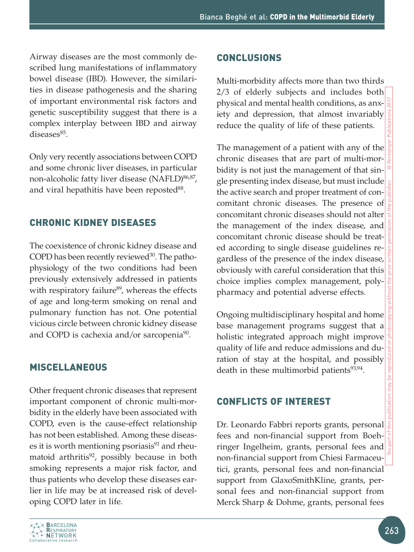Airway diseases are the most commonly described lung manifestations of inflammatory bowel disease (IBD). However, the similarities in disease pathogenesis and the sharing of important environmental risk factors and genetic susceptibility suggest that there is a complex interplay between IBD and airway diseases<sup>85</sup>.

Only very recently associations between COPD and some chronic liver diseases, in particular non-alcoholic fatty liver disease (NAFLD)<sup>86,87</sup>, and viral hepathitis have been reposted<sup>88</sup>.

# Chronic kidney diseases

The coexistence of chronic kidney disease and COPD has been recently reviewed $30$ . The pathophysiology of the two conditions had been previously extensively addressed in patients with respiratory failure<sup>89</sup>, whereas the effects of age and long-term smoking on renal and pulmonary function has not. One potential vicious circle between chronic kidney disease and COPD is cachexia and/or sarcopenia<sup>90</sup>.

# Miscellaneous

Other frequent chronic diseases that represent important component of chronic multi-morbidity in the elderly have been associated with COPD, even is the cause-effect relationship has not been established. Among these diseases it is worth mentioning psoriasis $91$  and rheumatoid arthritis<sup>92</sup>, possibly because in both smoking represents a major risk factor, and thus patients who develop these diseases earlier in life may be at increased risk of developing COPD later in life.

#### **CONCLUSIONS**

Multi-morbidity affects more than two thirds 2/3 of elderly subjects and includes both physical and mental health conditions, as anxiety and depression, that almost invariably reduce the quality of life of these patients.

The management of a patient with any of the chronic diseases that are part of multi-morbidity is not just the management of that single presenting index disease, but must include the active search and proper treatment of concomitant chronic diseases. The presence of concomitant chronic diseases should not alter the management of the index disease, and concomitant chronic disease should be treated according to single disease guidelines regardless of the presence of the index disease, obviously with careful consideration that this choice implies complex management, polypharmacy and potential adverse effects.

Ongoing multidisciplinary hospital and home base management programs suggest that a holistic integrated approach might improve quality of life and reduce admissions and duration of stay at the hospital, and possibly death in these multimorbid patients $93,94$ .

### Conflicts of interest

Dr. Leonardo Fabbri reports grants, personal fees and non-financial support from Boehringer Ingelheim, grants, personal fees and non-financial support from Chiesi Farmaceutici, grants, personal fees and non-financial support from GlaxoSmithKline, grants, personal fees and non-financial support from Merck Sharp & Dohme, grants, personal fees

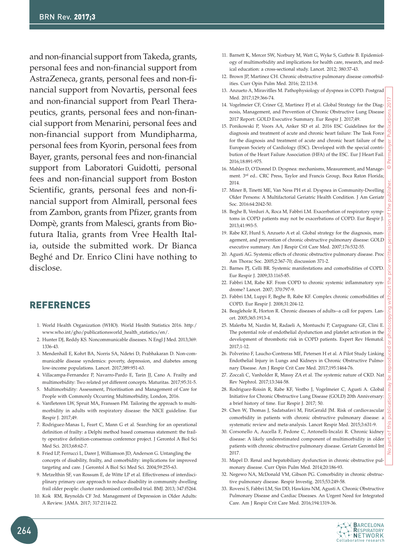and non-financial support from Takeda, grants, personal fees and non-financial support from AstraZeneca, grants, personal fees and non-financial support from Novartis, personal fees and non-financial support from Pearl Therapeutics, grants, personal fees and non-financial support from Menarini, personal fees and non-financial support from Mundipharma, personal fees from Kyorin, personal fees from Bayer, grants, personal fees and non-financial support from Laboratori Guidotti, personal fees and non-financial support from Boston Scientific, grants, personal fees and non-financial support from Almirall, personal fees from Zambon, grants from Pfizer, grants from Dompè, grants from Malesci, grants from Biofutura Italia, grants from Vree Health Italia, outside the submitted work. Dr Bianca Beghé and Dr. Enrico Clini have nothing to disclose.

## REFERENCES

- 1. World Health Organization (WHO). World Health Statistics 2016. http:/ www.who.int/gho/publicationsworld\_health\_statistics/en/.
- 2. Hunter DJ, Reddy KS. Noncommunicable diseases. N Engl J Med. 2013;369: 1336-43.
- 3. Mendenhall E, Kohrt BA, Norris SA, Ndetei D, Prabhakaran D. Non-communicable disease syndemics: poverty, depression, and diabetes among low-income populations. Lancet. 2017;389:951-63.
- 4. Villacampa-Fernandez P, Navarro-Pardo E, Tarin JJ, Cano A. Frailty and multimorbidity: Two related yet different concepts. Maturitas. 2017;95:31-5.
- 5. Multimorbidity: Assessment, Prioritisation and Management of Care for People with Commonly Occurring Multimorbidity, London, 2016.
- 6. Vanfleteren LW, Spruit MA, Franssen FM. Tailoring the approach to multimorbidity in adults with respiratory disease: the NICE guideline. Eur Respir J. 2017;49.
- 7. Rodriguez-Manas L, Feart C, Mann G et al. Searching for an operational definition of frailty: a Delphi method based consensus statement: the frailty operative definition-consensus conference project. J Gerontol A Biol Sci Med Sci. 2013;68:62-7.
- 8. Fried LP, Ferrucci L, Darer J, Williamson JD, Anderson G. Untangling the concepts of disability, frailty, and comorbidity: implications for improved targeting and care. J Gerontol A Biol Sci Med Sci. 2004;59:255-63.
- 9. Metzelthin SF, van Rossum E, de Witte LP et al. Effectiveness of interdisciplinary primary care approach to reduce disability in community dwelling frail older people: cluster randomised controlled trial. BMJ. 2013; 347:f5264.
- 10. Kok RM, Reynolds CF 3rd. Management of Depression in Older Adults: A Review. JAMA. 2017; 317:2114-22.
- 11. Barnett K, Mercer SW, Norbury M, Watt G, Wyke S, Guthrie B. Epidemiology of multimorbidity and implications for health care, research, and medical education: a cross-sectional study. Lancet. 2012; 380:37-43.
- 12. Brown JP, Martinez CH. Chronic obstructive pulmonary disease comorbidities. Curr Opin Pulm Med. 2016; 22:113-8.
- 13. Anzueto A, Miravitlles M. Pathophysiology of dyspnea in COPD. Postgrad Med. 2017;129:366-74.
- 14. Vogelmeier CF, Criner GJ, Martinez FJ et al. Global Strategy for the Diagnosis, Management, and Prevention of Chronic Obstructive Lung Disease 2017 Report: GOLD Executive Summary. Eur Respir J. 2017;49.
- 15. Ponikowski P, Voors AA, Anker SD et al. 2016 ESC Guidelines for the diagnosis and treatment of acute and chronic heart failure: The Task Force for the diagnosis and treatment of acute and chronic heart failure of the European Society of Cardiology (ESC). Developed with the special contribution of the Heart Failure Association (HFA) of the ESC. Eur J Heart Fail. 2016;18:891-975.
- 16. Mahler D, O'Donnel D. Dyspnea: mechanisms, Measurement, and Management. 3rd ed.. CRC Press, Taylor and Francis Group, Boca Raton Florida; 2014.
- 17. Miner B, Tinetti ME, Van Ness PH et al. Dyspnea in Community-Dwelling Older Persons: A Multifactorial Geriatric Health Condition. J Am Geriatr Soc. 2016:64:2042-50.
- 18. Beghe B, Verduri A, Roca M, Fabbri LM. Exacerbation of respiratory symptoms in COPD patients may not be exacerbations of COPD. Eur Respir J. 2013;41:993-5.
- 19. Rabe KF, Hurd S, Anzueto A et al. Global strategy for the diagnosis, management, and prevention of chronic obstructive pulmonary disease: GOLD executive summary. Am J Respir Crit Care Med. 2007;176:532-55.
- 20. Agusti AG. Systemic effects of chronic obstructive pulmonary disease. Proc Am Thorac Soc. 2005;2:367-70; discussion 371-2.
- 21. Barnes PJ, Celli BR. Systemic manifestations and comorbidities of COPD. Eur Respir J. 2009;33:1165-85.
- 22. Fabbri LM, Rabe KF. From COPD to chronic systemic inflammatory syndrome? Lancet. 2007; 370:797-9.
- 23. Fabbri LM, Luppi F, Beghe B, Rabe KF. Complex chronic comorbidities of COPD. Eur Respir J. 2008;31:204-12.
- 24. Beaglehole R, Horton R. Chronic diseases of adults--a call for papers. Lancet. 2005;365:1913-4.
- 25. Malerba M, Nardin M, Radaeli A, Montuschi P, Carpagnano GE, Clini E. The potential role of endothelial dysfunction and platelet activation in the development of thrombotic risk in COPD patients. Expert Rev Hematol. 2017;1-12.
- 26. Polverino F, Laucho-Contreras ME, Petersen H et al. A Pilot Study Linking Endothelial Injury in Lungs and Kidneys in Chronic Obstructive Pulmonary Disease. Am J Respir Crit Care Med. 2017;195:1464-76.
- 27. Zoccali C, Vanholder R, Massy ZA et al. The systemic nature of CKD. Nat Rev Nephrol. 2017;13:344-58.
- 28. Rodriguez-Roisin R, Rabe KF, Vestbo J, Vogelmeier C, Agusti A. Global Initiative for Chronic Obstructive Lung Disease (GOLD) 20th Anniversary: a brief history of time. Eur Respir J. 2017; 50.
- 29. Chen W, Thomas J, Sadatsafavi M, FitzGerald JM. Risk of cardiovascular comorbidity in patients with chronic obstructive pulmonary disease: a systematic review and meta-analysis. Lancet Respir Med. 2015;3:631-9.
- 30. Corsonello A, Aucella F, Pedone C, Antonelli-Incalzi R. Chronic kidney disease: A likely underestimated component of multimorbidity in older patients with chronic obstructive pulmonary disease. Geriatr Gerontol Int 2017.
- 31. Mapel D. Renal and hepatobiliary dysfunction in chronic obstructive pulmonary disease. Curr Opin Pulm Med. 2014;20:186-93.
- 32. Negewo NA, McDonald VM, Gibson PG. Comorbidity in chronic obstructive pulmonary disease. Respir Investig. 2015;53:249-58.
- 33. Roversi S, Fabbri LM, Sin DD, Hawkins NM, Agusti A. Chronic Obstructive Pulmonary Disease and Cardiac Diseases. An Urgent Need for Integrated Care. Am J Respir Crit Care Med. 2016;194:1319-36.

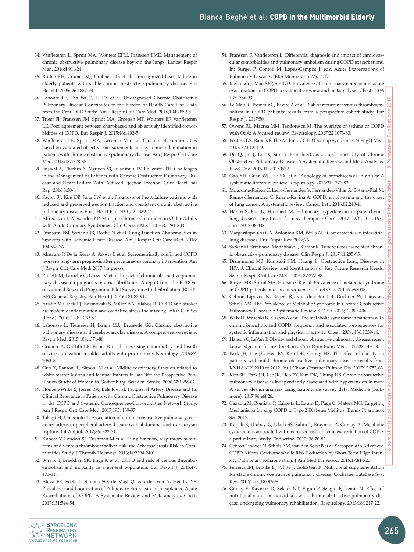- 34. Vanfleteren L, Spruit MA, Wouters EFM, Franssen FME. Management of chronic obstructive pulmonary disease beyond the lungs. Lancet Respir Med. 2016;4:911-24.
- 35. Rutten FH, Cramer MJ, Grobbee DE et al. Unrecognized heart failure in elderly patients with stable chronic obstructive pulmonary disease. Eur Heart J. 2005; 26:1887-94.
- 36. Labonte LE, Tan WCC, Li PZ et al. Undiagnosed Chronic Obstructive Pulmonary Disease Contributes to the Burden of Health Care Use. Data from the CanCOLD Study. Am J Respir Crit Care Med. 2016;194:285-98.
- 37. Triest FJ, Franssen FM, Spruit MA, Groenen MT, Wouters EF, Vanfleteren LE. Poor agreement between chart-based and objectively identified comorbidities of COPD. Eur Respir J. 2015;46:1492-5.
- 38. Vanfleteren LE, Spruit MA, Groenen M et al. Clusters of comorbidities based on validated objective measurements and systemic inflammation in patients with chronic obstructive pulmonary disease. Am J Respir Crit Care Med. 2013;187:728-35.
- 39. Jaiswal A, Chichra A, Nguyen VQ, Gadiraju TV, Le Jemtel TH. Challenges in the Management of Patients with Chronic Obstructive Pulmonary Disease and Heart Failure With Reduced Ejection Fraction. Curr Heart Fail Rep. 2016;3:30-6.
- 40. Kwon BJ, Kim DB, Jang SW et al. Prognosis of heart failure patients with reduced and preserved ejection fraction and coexistent chronic obstructive pulmonary disease. Eur J Heart Fail. 2010;12:1339-44.
- 41. Alfredsson J, Alexander KP. Multiple Chronic Conditions in Older Adults with Acute Coronary Syndromes. Clin Geriatr Med. 2016;32:291-303.
- 42. Franssen FM, Soriano JB, Roche N et al. Lung Function Abnormalities in Smokers with Ischemic Heart Disease. Am J Respir Crit Care Med. 2016; 194:568-76.
- 43. Almagro P, De la Sierra A, Acosta E et al. Spirometrically confirmed COPD worsens long-term prognosis after percutaneous coronary intervention. Am J Respir Crit Care Med. 2017 (in press).
- 44. Proietti M, Laroche C, Drozd M et al. Impact of chronic obstructive pulmonary disease on prognosis in atrial fibrillation: A report from the EURObservational Research Programme Pilot Survey on Atrial Fibrillation (EORP-AF) General Registry. Am Heart J. 2016;181:83-91.
- 45. Austin V, Crack PJ, Bozinovski S, Miller AA, Vlahos R. COPD and stroke: are systemic inflammation and oxidative stress the missing links? Clin Sci (Lond). 2016; 130: 1039-50.
- 46. Lahousse L, Tiemeier H, Ikram MA, Brusselle GG. Chronic obstructive pulmonary disease and cerebrovascular disease: A comprehensive review. Respir Med. 2015;109:1371-80.
- 47. Gruneir A, Griffith LE, Fisher K et al. Increasing comorbidity and health services utilization in older adults with prior stroke. Neurology. 2016:87: 2091-8.
- 48. Guo X, Pantoni L, Simoni M et al. Midlife respiratory function related to white matter lesions and lacunar infarcts in late life: the Prospective Population Study of Women in Gothenburg, Sweden. Stroke. 2006;37:1658-62.
- 49. Houben-Wilke S, Jorres RA, Bals R et al. Peripheral Artery Disease and Its Clinical Relevance in Patients with Chronic Obstructive Pulmonary Disease in the COPD and Systemic Consequences-Comorbidities Network Study. Am J Respir Crit Care Med. 2017;195: 189-97.
- 50. Takagi H, Umemoto T. Association of chronic obstructive pulmonary, coronary artery, or peripheral artery disease with abdominal aortic aneurysm rupture. Int Angiol. 2017;36: 322-31.
- 51. Kubota Y, London SJ, Cushman M et al. Lung function, respiratory symptoms and venous thromboembolism risk: the Atherosclerosis Risk in Communities Study. J Thromb Haemost. 2016;14:2394-2401.
- 52. Borvik T, Braekkan SK, Enga K et al. COPD and risk of venous thromboembolism and mortality in a general population. Eur Respir J. 2016;47: 473-81.
- 53. Aleva FE, Voets L, Simons SO, de Mast Q, van der Ven A, Heijdra YF. Prevalence and Localization of Pulmonary Embolism in Unexplained Acute Exacerbations of COPD: A Systematic Review and Meta-analysis. Chest. 2017;151:544-54.
- 54. Franssen F, Vanfleteren L. Differential diagnosis and impact of cardiovascular comorbidities and pulmonary embolism during COPD exacerbations. In: Burgel P, Contoli M, López-Campos J, eds. Acute Exacerbations of Pulmonary Diseases (ERS Monograph 77), 2017.
- 55. Rizkallah J, Man SFP, Sin DD. Prevalence of pulmonary embolism in acute exacerbations of COPD: a systematic review and metaanalysis. Chest. 2009; 135: 786-93.
- 56. Le Mao R, Tromeur C, Bazire A et al. Risk of recurrent venous thromboembolism in COPD patients: results from a prospective cohort study. Eur Respir J. 2017;50.
- 57. Owens RL, Macrea MM, Teodorescu M. The overlaps of asthma or COPD with OSA: A focused review. Respirology. 2017;22:1073-83.
- 58. Postma DS, Rabe KF. The Asthma-COPD Overlap Syndrome. N Engl J Med. 2015; 373:1241-9.
- 59. Du Q, Jin J, Liu X, Sun Y. Bronchiectasis as a Comorbidity of Chronic Obstructive Pulmonary Disease: A Systematic Review and Meta-Analysis. PLoS One. 2016;11: e0150532.
- 60. Gao YH, Guan WJ, Liu SX, et al. Aetiology of bronchiectasis in adults: A systematic literature review. Respirology. 2016;21:1376-83.
- 61. Mouronte-Roibas C, Leiro-Fernandez V, Fernandez-Villar A, Botana-Rial M, Ramos-Hernandez C, Ruano-Ravina A. COPD, emphysema and the onset of lung cancer. A systematic review. Cancer Lett. 2016;82:240-4.
- 62. Harari S, Elia D, Humbert M. Pulmonary hypertension in parenchymal lung diseases: any future for new therapies? Chest. 2017. DOI: 10.1016/j. chest.2017.06.008.
- 63. Margaritopoulos GA, Antoniou KM, Wells AU. Comorbidities in interstitial lung diseases. Eur Respir Rev. 2017;26.
- 64. Sarkar M, Srinivasa, Madabhavi I, Kumar K. Tuberculosis associated chronic obstructive pulmonary disease. Clin Respir J. 2017;11:285-95.
- 65. Drummond MB, Kunisaki KM, Huang L. Obstructive Lung Diseases in HIV: A Clinical Review and Identification of Key Future Research Needs. Semin Respir Crit Care Med. 2016; 37:277-88.
- 66. Breyer MK, Spruit MA, Hanson CK et al. Prevalence of metabolic syndrome in COPD patients and its consequences. PLoS One. 2014;9:e98013.
- 67. Cebron Lipovec N, Beijers RJ, van den Borst B, Doehner W, Lainscak, Schols AM. The Prevalence of Metabolic Syndrome In Chronic Obstructive Pulmonary Disease: A Systematic Review. COPD. 2016;13:399-406.
- 68. Watz H, Waschki B, Kirsten A et al. The metabolic syndrome in patients with chronic bronchitis and COPD: frequency and associated consequences for systemic inflammation and physical inactivity. Chest. 2009; 136:1039-46.
- 69. Hanson C, LeVan T. Obesity and chronic obstructive pulmonary disease: recent knowledge and future directions. Curr Opin Pulm Med. 2017;23:149-53.
- 70. Park JH, Lee JK, Heo EY, Kim DK, Chung HS. The effect of obesity on patients with mild chronic obstructive pulmonary disease: results from KNHANES 2010 to 2012. Int J Chron Obstruct Pulmon Dis. 2017;12:757-63.
- 71. Kim SH, Park JH, Lee JK, Heo EY, Kim DK, Chung HS. Chronic obstructive pulmonary disease is independently associated with hypertension in men: A survey design analysis using nationwide survey data. Medicine (Baltimore). 2017;96:e6826.
- 72. Cazzola M, Rogliani P, Calzetta L, Lauro D, Page C, Matera MG. Targeting Mechanisms Linking COPD to Type 2 Diabetes Mellitus. Trends Pharmacol Sci. 2017.
- 73. Kupeli E, Ulubay G, Ulasli SS, Sahin T, Erayman Z, Gursoy A. Metabolic syndrome is associated with increased risk of acute exacerbation of COPD: a preliminary study. Endocrine. 2010; 38:76-82.
- 74. Cebron Lipovec N, Schols AM, van den Borst B et al. Sarcopenia in Advanced COPD Affects Cardiometabolic Risk Reduction by Short-Term High-intensity Pulmonary Rehabilitation. J Am Med Dir Assoc. 2016;17:814-20.
- 75. Ferreira IM, Brooks D, White J, Goldstein R. Nutritional supplementation for stable chronic obstructive pulmonary disease. Cochrane Database Syst Rev. 2012;12: CD000998.
- 76. Gunay E, Kaymaz D, Selcuk NT, Ergun P, Sengul F, Demir N. Effect of nutritional status in individuals with chronic obstructive pulmonary disease undergoing pulmonary rehabilitation. Respirology. 2013;18:1217-22.